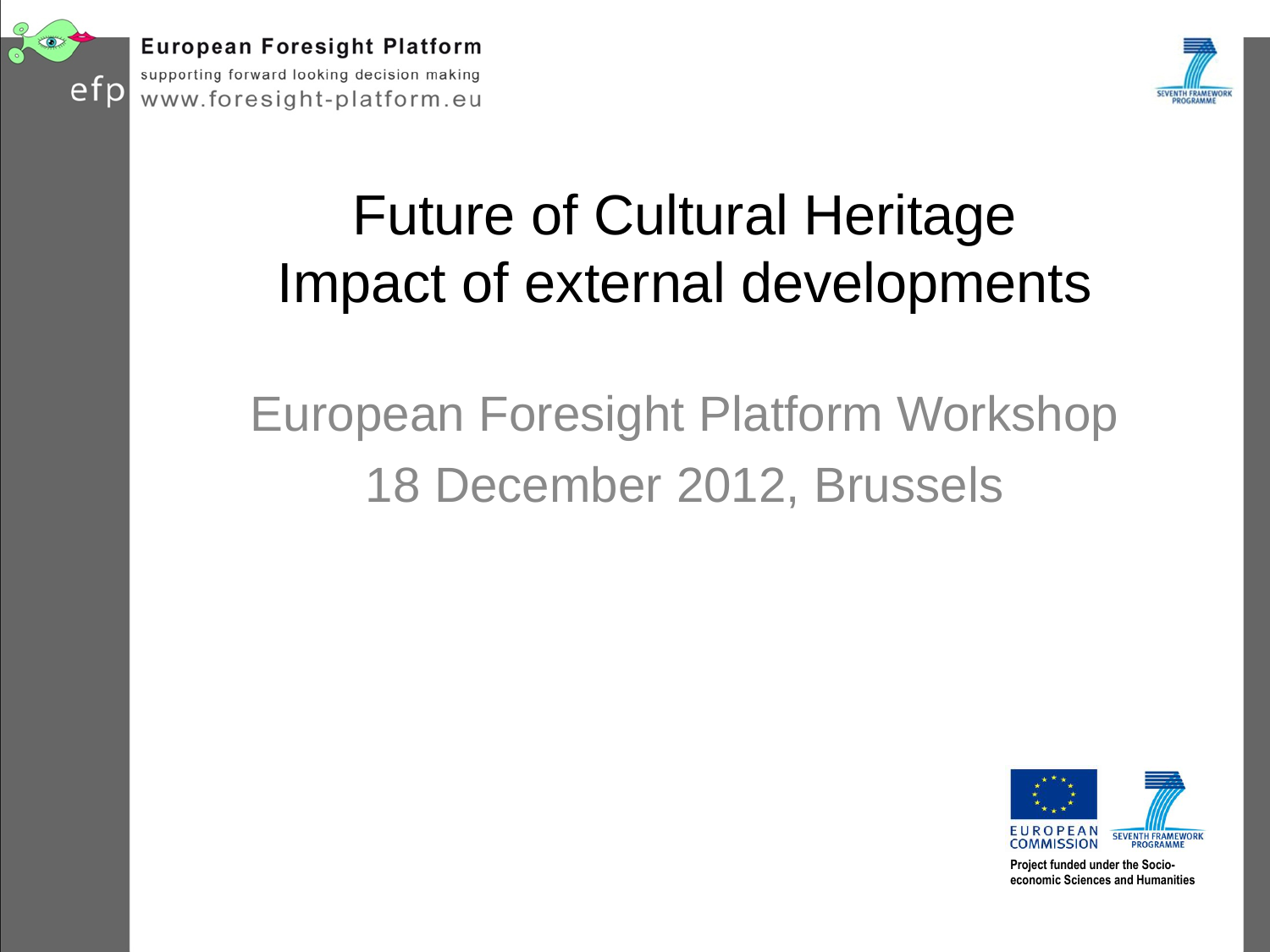



#### Future of Cultural Heritage Impact of external developments

#### European Foresight Platform Workshop 18 December 2012, Brussels



**Project funded under the Socioeconomic Sciences and Humanities**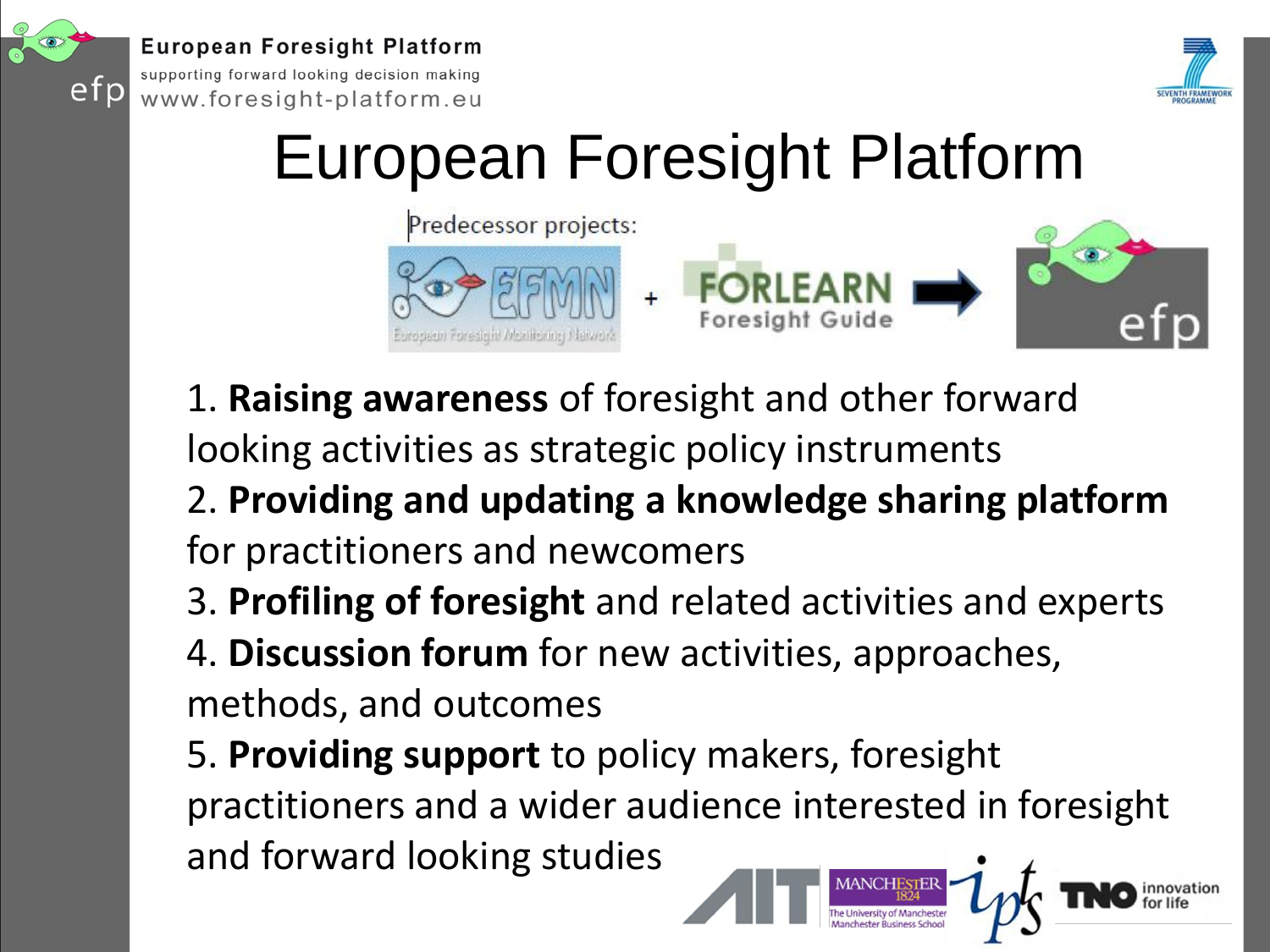

**European Foresight Platform** 

supporting forward looking decision making www.foresight-platform.eu



## European Foresight Platform



- 1. **Raising awareness** of foresight and other forward
- looking activities as strategic policy instruments
- 2. **Providing and updating a knowledge sharing platform**  for practitioners and newcomers
- 3. **Profiling of foresight** and related activities and experts
- 4. **Discussion forum** for new activities, approaches, methods, and outcomes
- 5. **Providing support** to policy makers, foresight practitioners and a wider audience interested in foresight and forward looking studies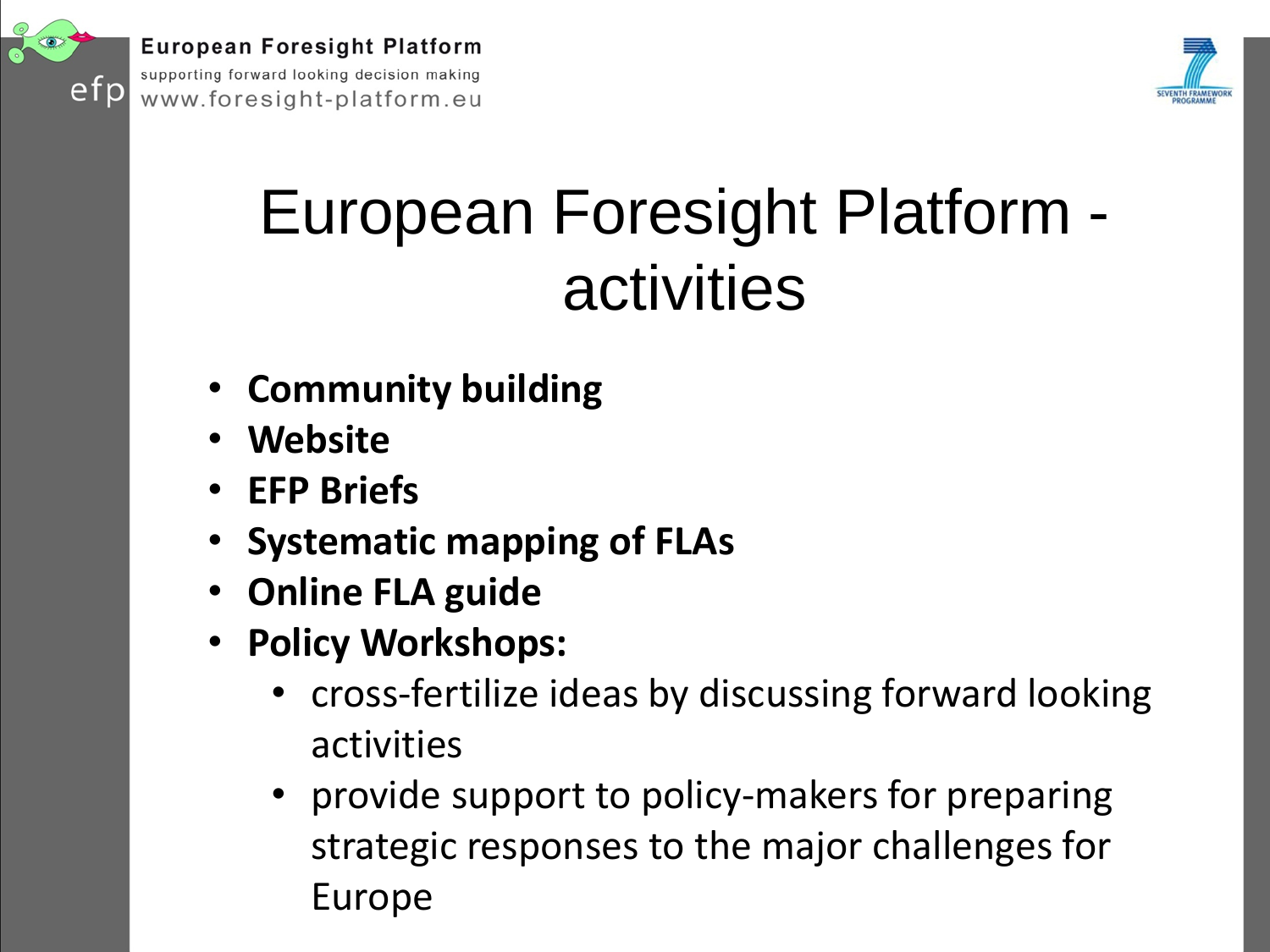

**European Foresight Platform** supporting forward looking decision making

www.foresight-platform.eu



## European Foresight Platform activities

- **Community building**
- **Website**
- **EFP Briefs**
- **Systematic mapping of FLAs**
- **Online FLA guide**
- **Policy Workshops:** 
	- cross-fertilize ideas by discussing forward looking activities
	- provide support to policy-makers for preparing strategic responses to the major challenges for Europe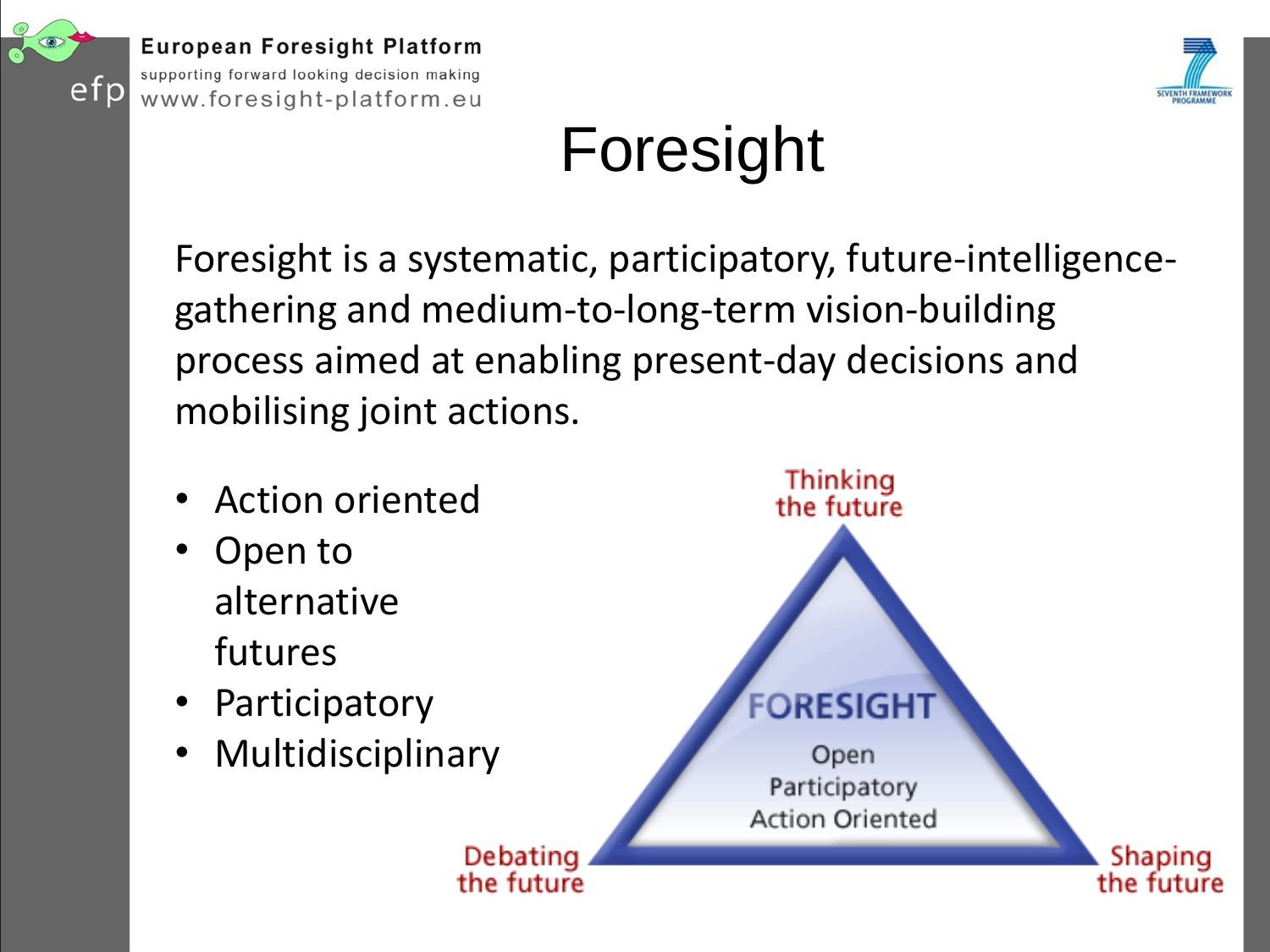



## Foresight

Foresight is a systematic, participatory, future-intelligencegathering and medium-to-long-term vision-building process aimed at enabling present-day decisions and mobilising joint actions.

- Action oriented
- Open to alternative futures
- Participatory
- **Multidisciplinary**

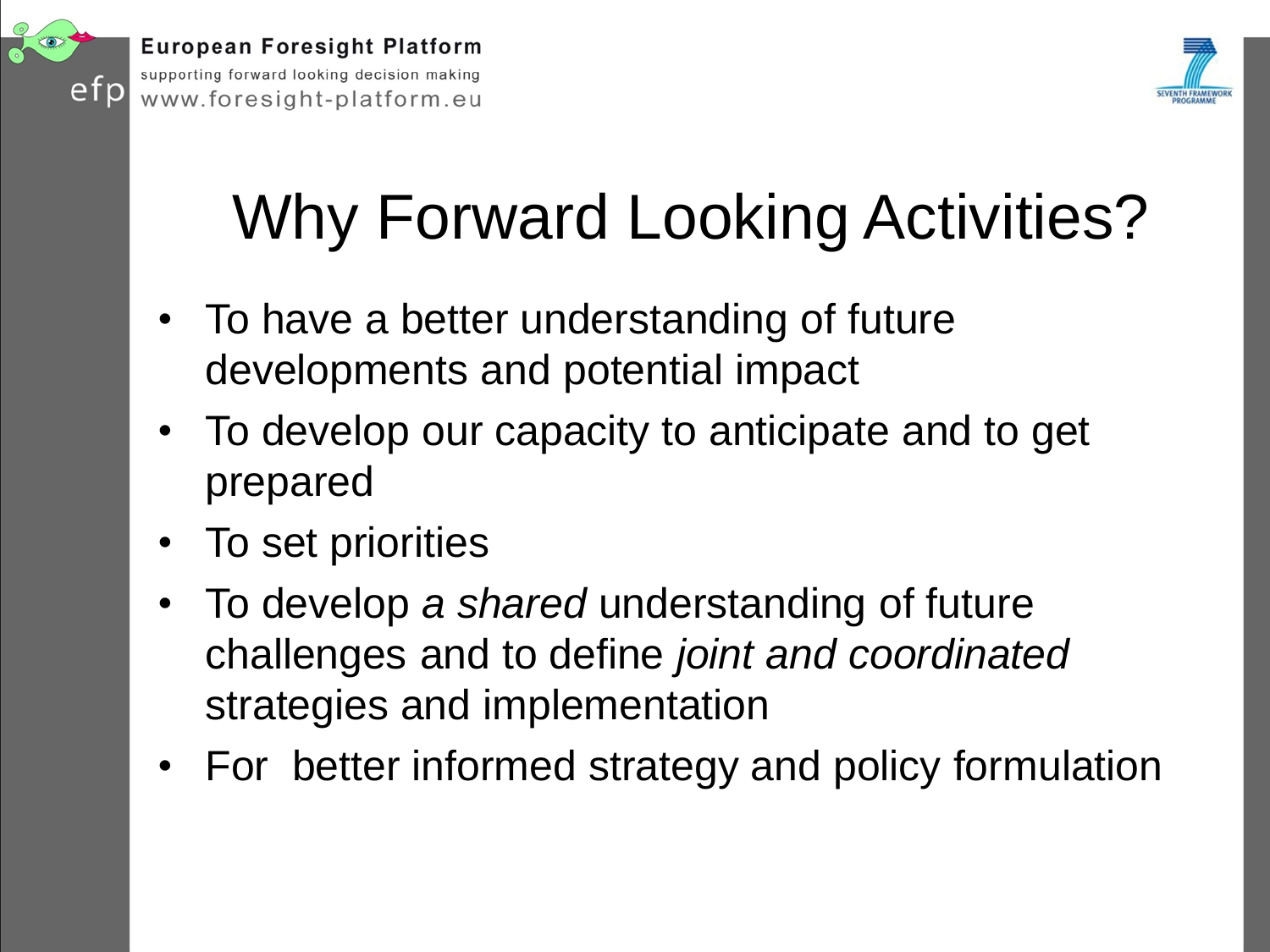



# Why Forward Looking Activities?

- To have a better understanding of future developments and potential impact
- To develop our capacity to anticipate and to get prepared
- To set priorities
- To develop *a shared* understanding of future challenges and to define *joint and coordinated*  strategies and implementation
- For better informed strategy and policy formulation